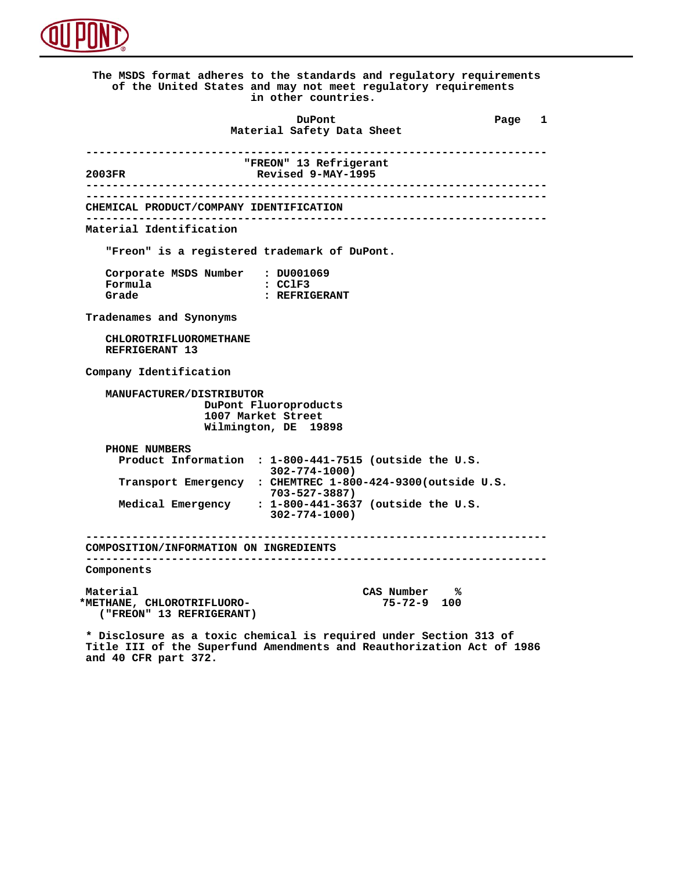

 **The MSDS format adheres to the standards and regulatory requirements of the United States and may not meet regulatory requirements in other countries. DuPont Different Page 1 Material Safety Data Sheet ---------------------------------------------------------------------- "FREON" 13 Refrigerant**<br> **Revised 9-MAY-1995 2003FR Revised 9-MAY-1995 ---------------------------------------------------------------------- ---------------------------------------------------------------------- CHEMICAL PRODUCT/COMPANY IDENTIFICATION ---------------------------------------------------------------------- Material Identification "Freon" is a registered trademark of DuPont. Corporate MSDS Number : DU001069**<br>**Formula** : CClF3 **Formula**<br>Grade  **Grade : REFRIGERANT Tradenames and Synonyms CHLOROTRIFLUOROMETHANE REFRIGERANT 13 Company Identification MANUFACTURER/DISTRIBUTOR DuPont Fluoroproducts 1007 Market Street Wilmington, DE 19898 PHONE NUMBERS Product Information : 1-800-441-7515 (outside the U.S. 302-774-1000) Transport Emergency : CHEMTREC 1-800-424-9300(outside U.S. 703-527-3887) Medical Emergency : 1-800-441-3637 (outside the U.S. 302-774-1000) ---------------------------------------------------------------------- COMPOSITION/INFORMATION ON INGREDIENTS ---------------------------------------------------------------------- Components** Material CAS Number %<br>METHANE, CHLOROTRIFLUORO-**METHANE, CHLOROTRIFLUORO-** 75-72-9  **\*METHANE, CHLOROTRIFLUORO- 75-72-9 100 ("FREON" 13 REFRIGERANT)**

 **\* Disclosure as a toxic chemical is required under Section 313 of Title III of the Superfund Amendments and Reauthorization Act of 1986 and 40 CFR part 372.**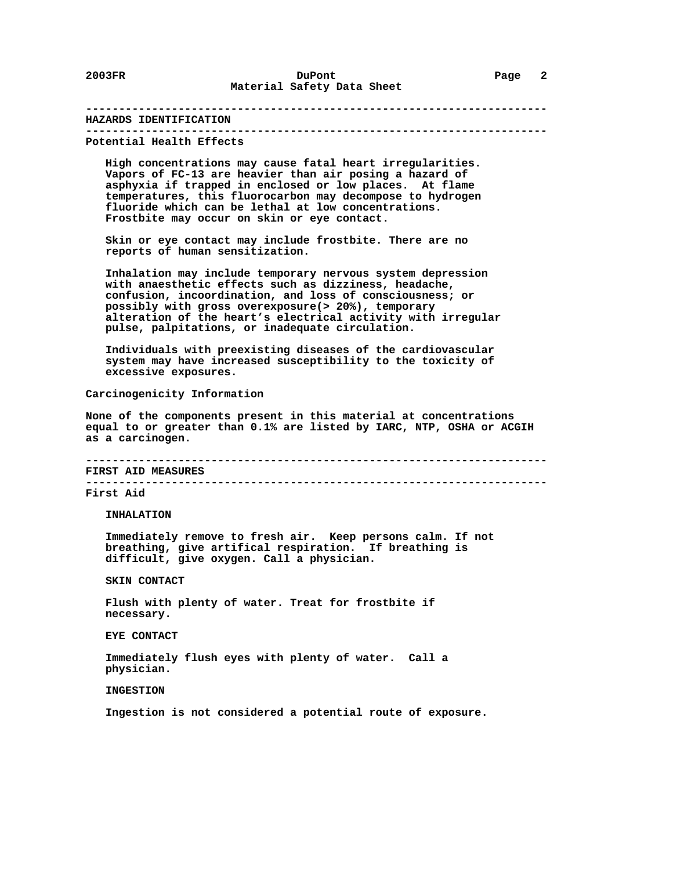## **---------------------------------------------------------------------- HAZARDS IDENTIFICATION**

 **---------------------------------------------------------------------- Potential Health Effects**

 **High concentrations may cause fatal heart irregularities. Vapors of FC-13 are heavier than air posing a hazard of asphyxia if trapped in enclosed or low places. At flame temperatures, this fluorocarbon may decompose to hydrogen fluoride which can be lethal at low concentrations. Frostbite may occur on skin or eye contact.**

 **Skin or eye contact may include frostbite. There are no reports of human sensitization.**

 **Inhalation may include temporary nervous system depression with anaesthetic effects such as dizziness, headache, confusion, incoordination, and loss of consciousness; or possibly with gross overexposure(> 20%), temporary alteration of the heart's electrical activity with irregular pulse, palpitations, or inadequate circulation.**

 **Individuals with preexisting diseases of the cardiovascular system may have increased susceptibility to the toxicity of excessive exposures.**

 **Carcinogenicity Information**

 **None of the components present in this material at concentrations equal to or greater than 0.1% are listed by IARC, NTP, OSHA or ACGIH as a carcinogen.**

 **---------------------------------------------------------------------- FIRST AID MEASURES**

 **----------------------------------------------------------------------**

 **First Aid**

 **INHALATION**

 **Immediately remove to fresh air. Keep persons calm. If not breathing, give artifical respiration. If breathing is difficult, give oxygen. Call a physician.**

 **SKIN CONTACT**

 **Flush with plenty of water. Treat for frostbite if necessary.**

 **EYE CONTACT**

 **Immediately flush eyes with plenty of water. Call a physician.**

 **INGESTION**

 **Ingestion is not considered a potential route of exposure.**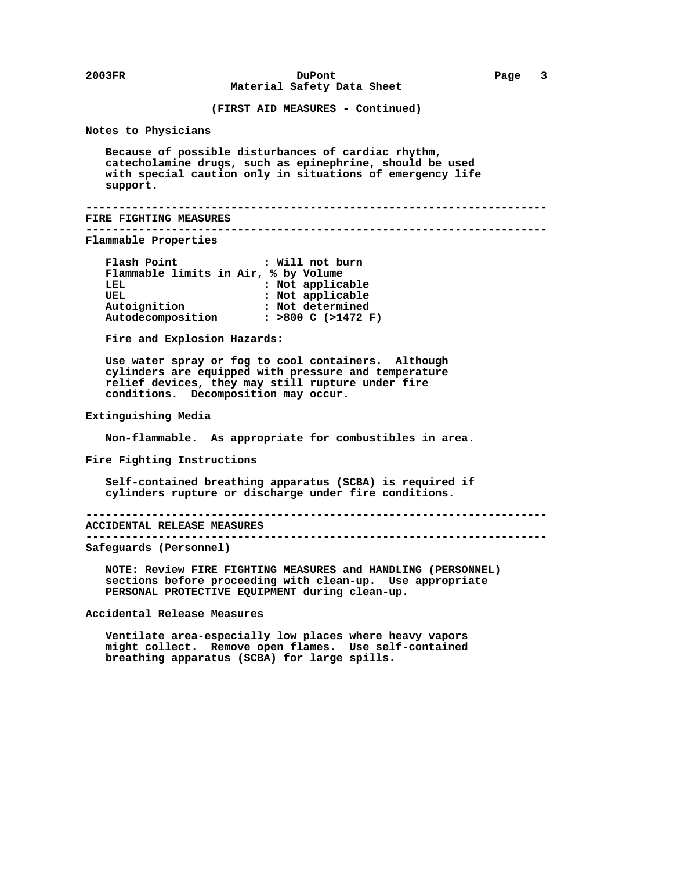**(FIRST AID MEASURES - Continued)**

 **Notes to Physicians**

 **Because of possible disturbances of cardiac rhythm, catecholamine drugs, such as epinephrine, should be used with special caution only in situations of emergency life support.**

```
 ----------------------------------------------------------------------
FIRE FIGHTING MEASURES
```
 **----------------------------------------------------------------------**

 **Flammable Properties**

 **Flash Point : Will not burn Flammable limits in Air, % by Volume LEL : Not applicable :** Not applicable  **Autoignition : Not determined Autodecomposition : >800 C (>1472 F)**

 **Fire and Explosion Hazards:**

 **Use water spray or fog to cool containers. Although cylinders are equipped with pressure and temperature relief devices, they may still rupture under fire conditions. Decomposition may occur.**

 **Extinguishing Media**

 **Non-flammable. As appropriate for combustibles in area.**

 **Fire Fighting Instructions**

 **Self-contained breathing apparatus (SCBA) is required if cylinders rupture or discharge under fire conditions.**

 **----------------------------------------------------------------------**

 **ACCIDENTAL RELEASE MEASURES ----------------------------------------------------------------------**

 **Safeguards (Personnel)**

 **NOTE: Review FIRE FIGHTING MEASURES and HANDLING (PERSONNEL) sections before proceeding with clean-up. Use appropriate PERSONAL PROTECTIVE EQUIPMENT during clean-up.**

 **Accidental Release Measures**

 **Ventilate area-especially low places where heavy vapors might collect. Remove open flames. Use self-contained breathing apparatus (SCBA) for large spills.**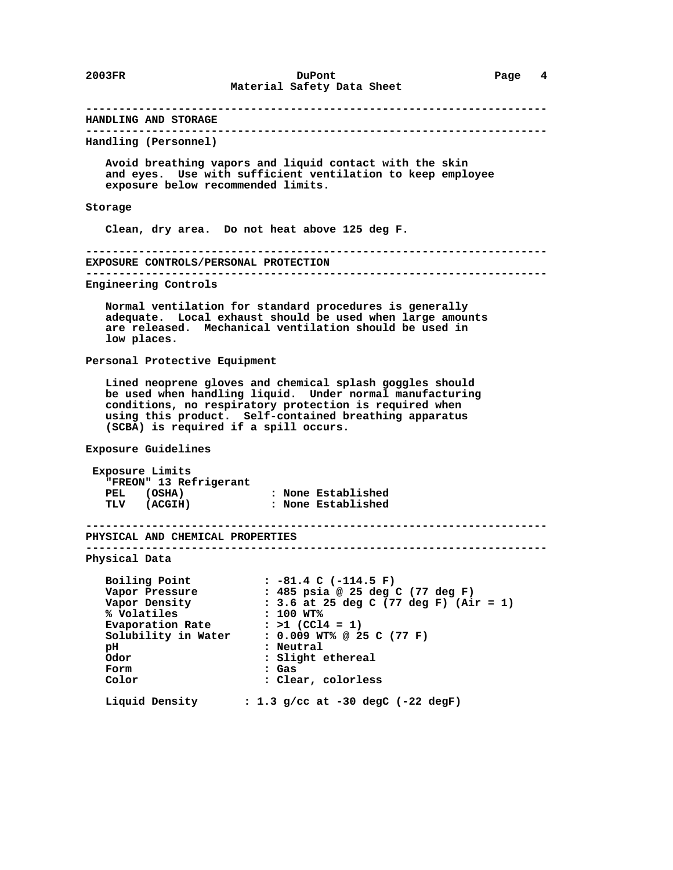**---------------------------------------------------------------------- HANDLING AND STORAGE ---------------------------------------------------------------------- Handling (Personnel) Avoid breathing vapors and liquid contact with the skin and eyes. Use with sufficient ventilation to keep employee exposure below recommended limits. Storage Clean, dry area. Do not heat above 125 deg F. ---------------------------------------------------------------------- EXPOSURE CONTROLS/PERSONAL PROTECTION ---------------------------------------------------------------------- Engineering Controls Normal ventilation for standard procedures is generally adequate. Local exhaust should be used when large amounts are released. Mechanical ventilation should be used in low places. Personal Protective Equipment Lined neoprene gloves and chemical splash goggles should be used when handling liquid. Under normal manufacturing conditions, no respiratory protection is required when using this product. Self-contained breathing apparatus (SCBA) is required if a spill occurs. Exposure Guidelines Exposure Limits "FREON" 13 Refrigerant PEL (OSHA) : None Established TLV (ACGIH) : None Established ---------------------------------------------------------------------- PHYSICAL AND CHEMICAL PROPERTIES ---------------------------------------------------------------------- Physical Data Boiling Point : -81.4 C (-114.5 F) Vapor Pressure : 485 psia @ 25 deg C (77 deg F) Vapor Density : 3.6 at 25 deg C (77 deg F) (Air = 1) % Volatiles : 100 WT%** Evaporation Rate : >1 (CCl4 = 1)  **Solubility in Water : 0.009 WT% @ 25 C (77 F) pH : Neutral Odor : Slight ethereal Form : Gas Color : Clear, colorless Liquid Density : 1.3 g/cc at -30 degC (-22 degF)**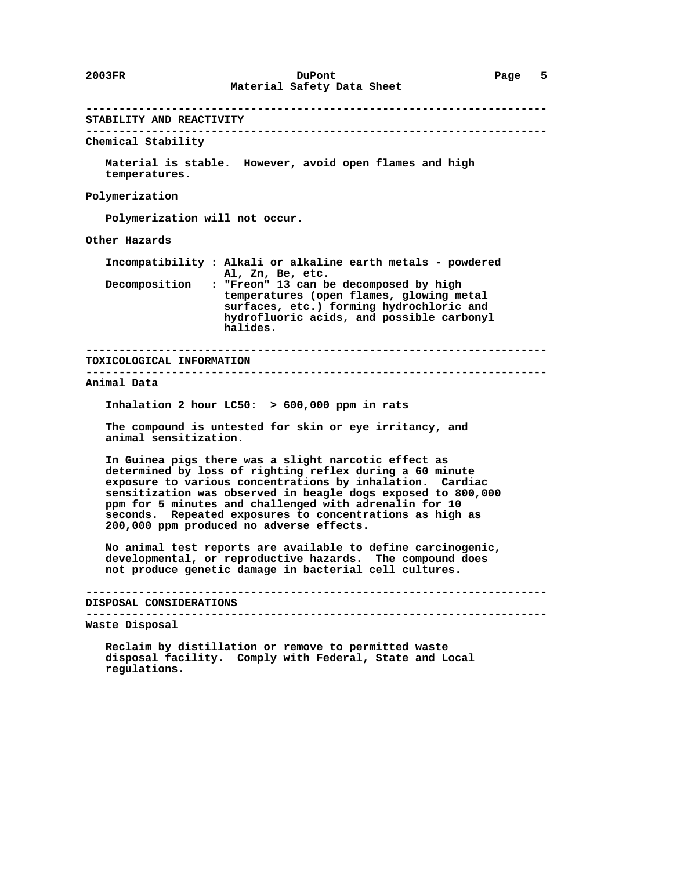**---------------------------------------------------------------------- STABILITY AND REACTIVITY ---------------------------------------------------------------------- Chemical Stability Material is stable. However, avoid open flames and high temperatures. Polymerization Polymerization will not occur. Other Hazards Incompatibility : Alkali or alkaline earth metals - powdered Al, Zn, Be, etc. Decomposition : "Freon" 13 can be decomposed by high temperatures (open flames, glowing metal surfaces, etc.) forming hydrochloric and hydrofluoric acids, and possible carbonyl halides. ---------------------------------------------------------------------- TOXICOLOGICAL INFORMATION ---------------------------------------------------------------------- Animal Data Inhalation 2 hour LC50: > 600,000 ppm in rats The compound is untested for skin or eye irritancy, and animal sensitization. In Guinea pigs there was a slight narcotic effect as determined by loss of righting reflex during a 60 minute exposure to various concentrations by inhalation. Cardiac sensitization was observed in beagle dogs exposed to 800,000 ppm for 5 minutes and challenged with adrenalin for 10 seconds. Repeated exposures to concentrations as high as 200,000 ppm produced no adverse effects. No animal test reports are available to define carcinogenic, developmental, or reproductive hazards. The compound does not produce genetic damage in bacterial cell cultures. ---------------------------------------------------------------------- DISPOSAL CONSIDERATIONS ---------------------------------------------------------------------- Waste Disposal Reclaim by distillation or remove to permitted waste disposal facility. Comply with Federal, State and Local regulations.**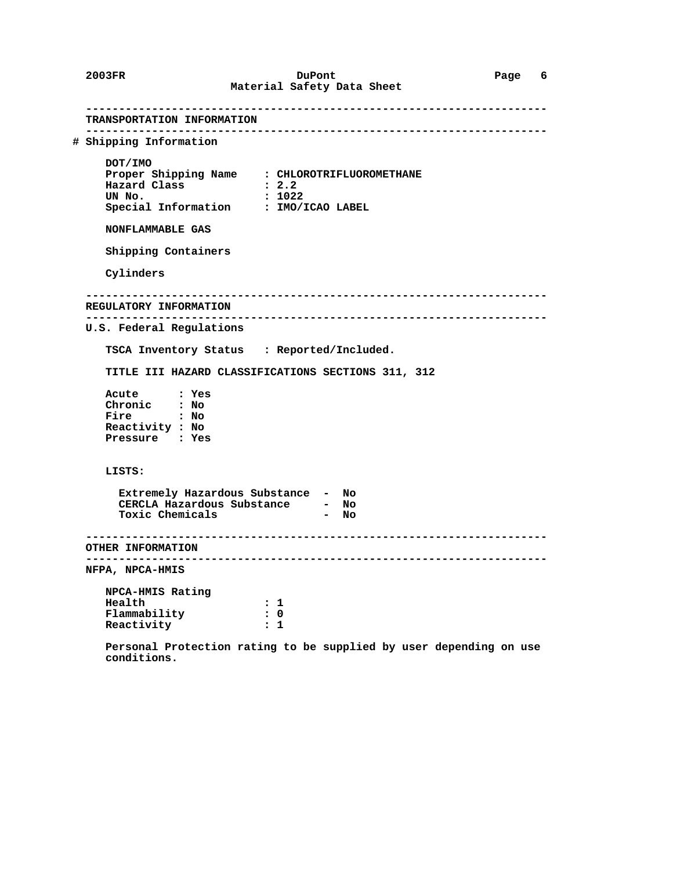**---------------------------------------------------------------------- TRANSPORTATION INFORMATION ---------------------------------------------------------------------- # Shipping Information DOT/IMO Proper Shipping Name : CHLOROTRIFLUOROMETHANE Hazard Class : 2.2 UN No. : 1022 Special Information : IMO/ICAO LABEL NONFLAMMABLE GAS Shipping Containers Cylinders ---------------------------------------------------------------------- REGULATORY INFORMATION ---------------------------------------------------------------------- U.S. Federal Regulations TSCA Inventory Status : Reported/Included. TITLE III HAZARD CLASSIFICATIONS SECTIONS 311, 312 Acute : Yes Chronic : No Fire : No Reactivity : No Pressure : Yes LISTS: Extremely Hazardous Substance - No CERCLA Hazardous Substance - No Toxic Chemicals - No ---------------------------------------------------------------------- OTHER INFORMATION ---------------------------------------------------------------------- NFPA, NPCA-HMIS NPCA-HMIS Rating Health** : 1<br>Flammability : 0  **Flammability : 0 Reactivity : 1 Personal Protection rating to be supplied by user depending on use**

 **conditions.**